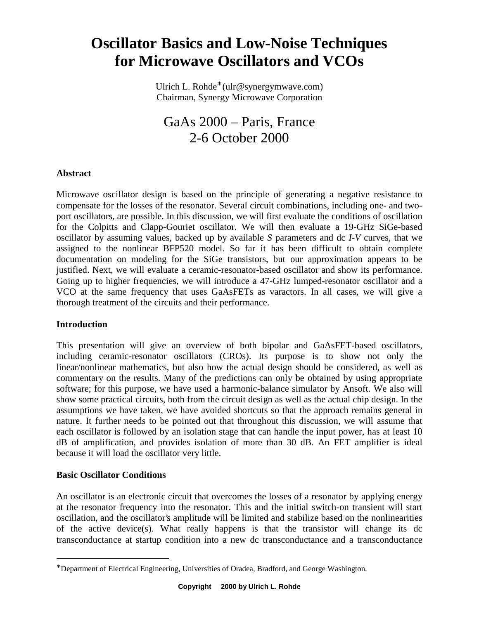# **Oscillator Basics and Low-Noise Techniques for Microwave Oscillators and [VCOs](http://synergymwave.com/products/vco/)**

Ulrich L. Rohde<sup>∗</sup> (ulr@synergymwave.com) Chairman, Synergy Microwave Corporation

GaAs 2000 – Paris, France 2-6 October 2000

# **Abstract**

Microwave oscillator design is based on the principle of generating a negative resistance to compensate for the losses of the resonator. Several circuit combinations, including one- and twoport oscillators, are possible. In this discussion, we will first evaluate the conditions of oscillation for the Colpitts and Clapp-Gouriet oscillator. We will then evaluate a 19-GHz SiGe-based oscillator by assuming values, backed up by available *S* parameters and dc *I-V* curves, that we assigned to the nonlinear BFP520 model. So far it has been difficult to obtain complete documentation on modeling for the SiGe transistors, but our approximation appears to be justified. Next, we will evaluate a ceramic-resonator-based oscillator and show its performance. Going up to higher frequencies, we will introduce a 47-GHz lumped-resonator oscillator and a [VCO](http://synergymwave.com/products/vco/) at the same frequency that uses GaAsFETs as varactors. In all cases, we will give a thorough treatment of the circuits and their performance.

# **Introduction**

This presentation will give an overview of both bipolar and GaAsFET-based oscillators, including ceramic-resonator oscillators (CROs). Its purpose is to show not only the linear/nonlinear mathematics, but also how the actual design should be considered, as well as commentary on the results. Many of the predictions can only be obtained by using appropriate software; for this purpose, we have used a harmonic-balance simulator by Ansoft. We also will show some practical circuits, both from the circuit design as well as the actual chip design. In the assumptions we have taken, we have avoided shortcuts so that the approach remains general in nature. It further needs to be pointed out that throughout this discussion, we will assume that each oscillator is followed by an isolation stage that can handle the input power, has at least 10 dB of amplification, and provides isolation of more than 30 dB. An FET amplifier is ideal because it will load the oscillator very little.

# **Basic Oscillator Conditions**

 $\overline{a}$ 

An oscillator is an electronic circuit that overcomes the losses of a resonator by applying energy at the resonator frequency into the resonator. This and the initial switch-on transient will start oscillation, and the oscillator's amplitude will be limited and stabilize based on the nonlinearities of the active device(s). What really happens is that the transistor will change its dc transconductance at startup condition into a new dc transconductance and a transconductance

<sup>∗</sup> Department of Electrical Engineering, Universities of Oradea, Bradford, and George Washington.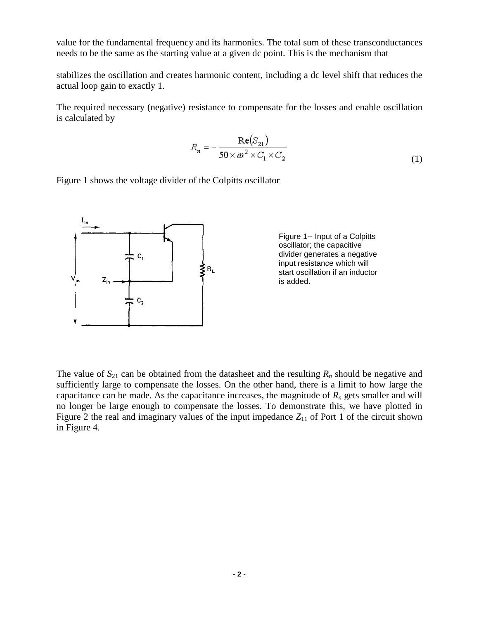value for the fundamental frequency and its harmonics. The total sum of these transconductances needs to be the same as the starting value at a given dc point. This is the mechanism that

stabilizes the oscillation and creates harmonic content, including a dc level shift that reduces the actual loop gain to exactly 1.

The required necessary (negative) resistance to compensate for the losses and enable oscillation is calculated by

$$
R_n = -\frac{\text{Re}(S_{21})}{50 \times \omega^2 \times C_1 \times C_2}
$$
 (1)

Figure 1 shows the voltage divider of the Colpitts oscillator



Figure 1-- Input of a Colpitts oscillator; the capacitive divider generates a negative input resistance which will start oscillation if an inductor is added.

The value of  $S_{21}$  can be obtained from the datasheet and the resulting  $R_n$  should be negative and sufficiently large to compensate the losses. On the other hand, there is a limit to how large the capacitance can be made. As the capacitance increases, the magnitude of  $R_n$  gets smaller and will no longer be large enough to compensate the losses. To demonstrate this, we have plotted in Figure 2 the real and imaginary values of the input impedance  $Z_{11}$  of Port 1 of the circuit shown in Figure 4.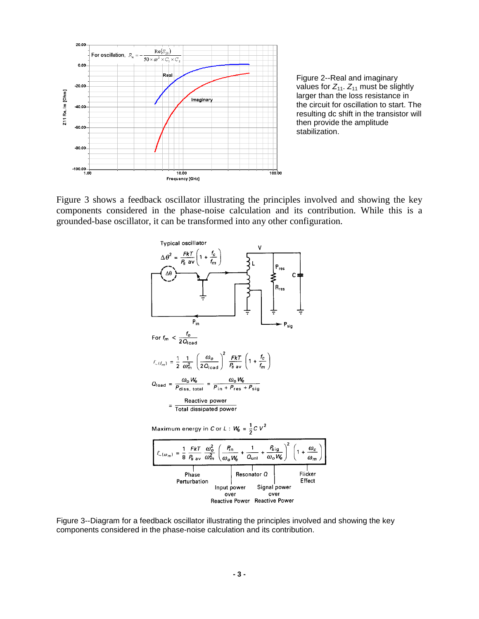

Figure 2--Real and imaginary values for  $Z_{11}$ .  $Z_{11}$  must be slightly larger than the loss resistance in the circuit for oscillation to start. The resulting dc shift in the transistor will then provide the amplitude stabilization.

Figure 3 shows a feedback oscillator illustrating the principles involved and showing the key components considered in the phase-noise calculation and its contribution. While this is a grounded-base oscillator, it can be transformed into any other configuration.



Figure 3--Diagram for a feedback oscillator illustrating the principles involved and showing the key components considered in the phase-noise calculation and its contribution.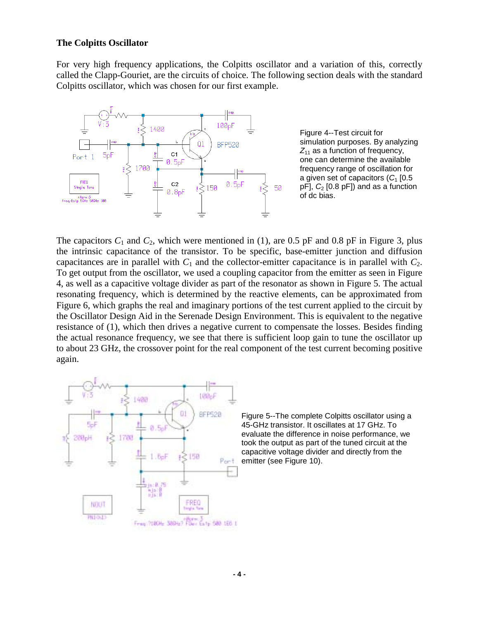#### **The Colpitts Oscillator**

For very high frequency applications, the Colpitts oscillator and a variation of this, correctly called the Clapp-Gouriet, are the circuits of choice. The following section deals with the standard Colpitts oscillator, which was chosen for our first example.



Figure 4--Test circuit for simulation purposes. By analyzing  $Z_{11}$  as a function of frequency, one can determine the available frequency range of oscillation for a given set of capacitors  $(C_1 \, [0.5])$  $pF$ ],  $C_2$  [0.8  $pF$ ]) and as a function of dc bias.

The capacitors  $C_1$  and  $C_2$ , which were mentioned in (1), are 0.5 pF and 0.8 pF in Figure 3, plus the intrinsic capacitance of the transistor. To be specific, base-emitter junction and diffusion capacitances are in parallel with  $C_1$  and the collector-emitter capacitance is in parallel with  $C_2$ . To get output from the oscillator, we used a coupling capacitor from the emitter as seen in Figure 4, as well as a capacitive voltage divider as part of the resonator as shown in Figure 5. The actual resonating frequency, which is determined by the reactive elements, can be approximated from Figure 6, which graphs the real and imaginary portions of the test current applied to the circuit by the Oscillator Design Aid in the Serenade Design Environment. This is equivalent to the negative resistance of (1), which then drives a negative current to compensate the losses. Besides finding the actual resonance frequency, we see that there is sufficient loop gain to tune the oscillator up to about 23 GHz, the crossover point for the real component of the test current becoming positive again.



Figure 5--The complete Colpitts oscillator using a 45-GHz transistor. It oscillates at 17 GHz. To evaluate the difference in noise performance, we took the output as part of the tuned circuit at the capacitive voltage divider and directly from the emitter (see Figure 10).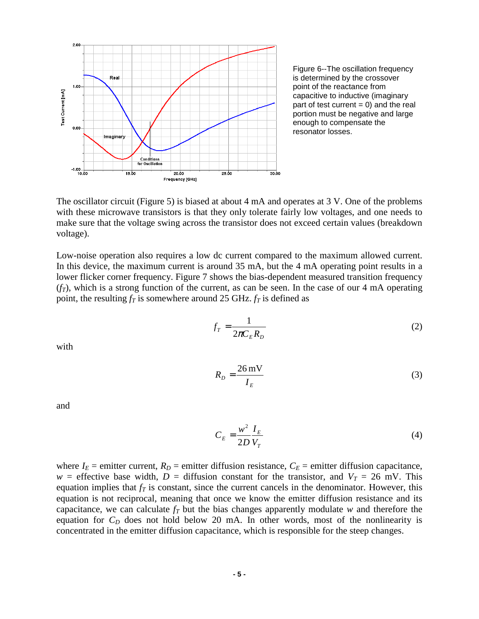

Figure 6--The oscillation frequency is determined by the crossover point of the reactance from capacitive to inductive (imaginary part of test current  $= 0$ ) and the real portion must be negative and large enough to compensate the resonator losses.

The oscillator circuit (Figure 5) is biased at about 4 mA and operates at 3 V. One of the problems with these microwave transistors is that they only tolerate fairly low voltages, and one needs to make sure that the voltage swing across the transistor does not exceed certain values (breakdown voltage).

Low-noise operation also requires a low dc current compared to the maximum allowed current. In this device, the maximum current is around 35 mA, but the 4 mA operating point results in a lower flicker corner frequency. Figure 7 shows the bias-dependent measured transition frequency  $(f_T)$ , which is a strong function of the current, as can be seen. In the case of our 4 mA operating point, the resulting  $f_T$  is somewhere around 25 GHz.  $f_T$  is defined as

$$
f_T = \frac{1}{2\pi C_E R_D} \tag{2}
$$

with

$$
R_D = \frac{26 \text{ mV}}{I_E} \tag{3}
$$

and

$$
C_E = \frac{w^2}{2D} \frac{I_E}{V_T} \tag{4}
$$

where  $I_E$  = emitter current,  $R_D$  = emitter diffusion resistance,  $C_E$  = emitter diffusion capacitance,  $w =$  effective base width,  $D =$  diffusion constant for the transistor, and  $V_T = 26$  mV. This equation implies that  $f<sub>T</sub>$  is constant, since the current cancels in the denominator. However, this equation is not reciprocal, meaning that once we know the emitter diffusion resistance and its capacitance, we can calculate  $f<sub>T</sub>$  but the bias changes apparently modulate *w* and therefore the equation for  $C_D$  does not hold below 20 mA. In other words, most of the nonlinearity is concentrated in the emitter diffusion capacitance, which is responsible for the steep changes.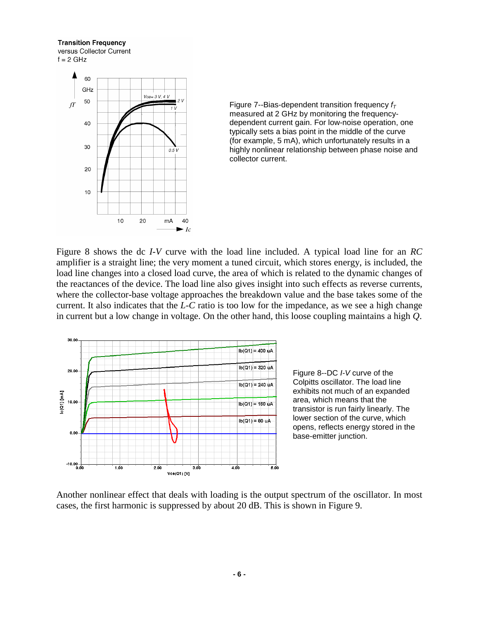#### **Transition Frequency**



Figure 7--Bias-dependent transition frequency  $f<sub>T</sub>$ measured at 2 GHz by monitoring the frequencydependent current gain. For low-noise operation, one typically sets a bias point in the middle of the curve (for example, 5 mA), which unfortunately results in a highly nonlinear relationship between phase noise and collector current.

Figure 8 shows the dc *I-V* curve with the load line included. A typical load line for an *RC* amplifier is a straight line; the very moment a tuned circuit, which stores energy, is included, the load line changes into a closed load curve, the area of which is related to the dynamic changes of the reactances of the device. The load line also gives insight into such effects as reverse currents, where the collector-base voltage approaches the breakdown value and the base takes some of the current. It also indicates that the *L-C* ratio is too low for the impedance, as we see a high change in current but a low change in voltage. On the other hand, this loose coupling maintains a high *Q*.



Figure 8--DC I-V curve of the Colpitts oscillator. The load line exhibits not much of an expanded area, which means that the transistor is run fairly linearly. The lower section of the curve, which opens, reflects energy stored in the base-emitter junction.

Another nonlinear effect that deals with loading is the output spectrum of the oscillator. In most cases, the first harmonic is suppressed by about 20 dB. This is shown in Figure 9.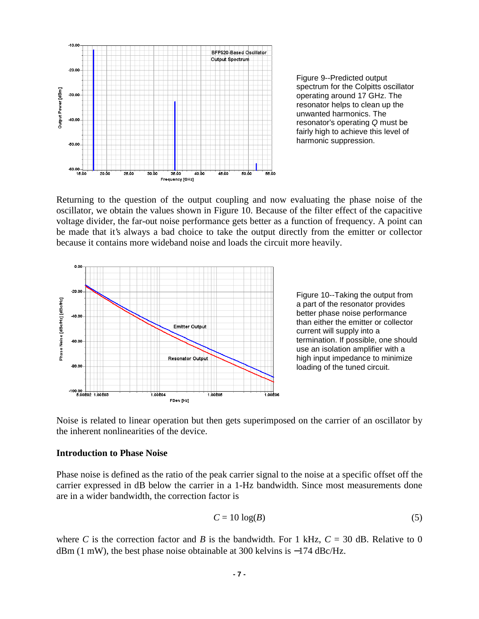

Figure 9--Predicted output spectrum for the Colpitts oscillator operating around 17 GHz. The resonator helps to clean up the unwanted harmonics. The resonator's operating Q must be fairly high to achieve this level of harmonic suppression.

Returning to the question of the output coupling and now evaluating the phase noise of the oscillator, we obtain the values shown in Figure 10. Because of the filter effect of the capacitive voltage divider, the far-out noise performance gets better as a function of frequency. A point can be made that it's always a bad choice to take the output directly from the emitter or collector because it contains more wideband noise and loads the circuit more heavily.



Figure 10--Taking the output from a part of the resonator provides better phase noise performance than either the emitter or collector current will supply into a termination. If possible, one should use an isolation amplifier with a high input impedance to minimize loading of the tuned circuit.

Noise is related to linear operation but then gets superimposed on the carrier of an oscillator by the inherent nonlinearities of the device.

#### **Introduction to Phase Noise**

Phase noise is defined as the ratio of the peak carrier signal to the noise at a specific offset off the carrier expressed in dB below the carrier in a 1-Hz bandwidth. Since most measurements done are in a wider bandwidth, the correction factor is

$$
C = 10 \log(B) \tag{5}
$$

where *C* is the correction factor and *B* is the bandwidth. For 1 kHz,  $C = 30$  dB. Relative to 0 dBm (1 mW), the best phase noise obtainable at 300 kelvins is −174 dBc/Hz.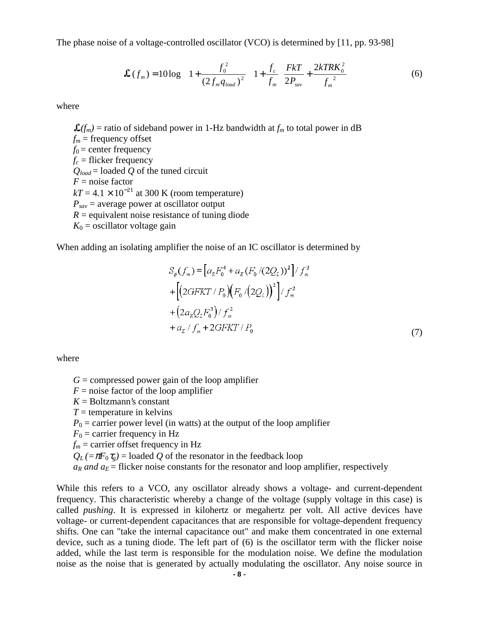The phase noise of a voltage-controlled oscillator [\(VCO\)](http://synergymwave.com/products/vco/) is determined by [11, pp. 93-98]

$$
\mathcal{L}(f_m) = 10 \log \left\{ \left[ 1 + \frac{f_0^2}{(2f_m q_{load})^2} \right] \left( 1 + \frac{f_c}{f_m} \right) \frac{Fk}{2P_{sav}} + \frac{2kTRK_0^2}{f_m^2} \right\}
$$
(6)

where

 $\mathcal{L}(f_m)$  = ratio of sideband power in 1-Hz bandwidth at  $f_m$  to total power in dB  $f_m$  = frequency offset  $f_0$  = center frequency  $f_c$  = flicker frequency *Qload* = loaded *Q* of the tuned circuit  $F = \text{noise factor}$  $kT = 4.1 \times 10^{-21}$  at 300 K (room temperature)  $P_{\textit{sav}}$  = average power at oscillator output  $R =$  equivalent noise resistance of tuning diode  $K_0$  = oscillator voltage gain

When adding an isolating amplifier the noise of an IC oscillator is determined by

$$
S_{\phi}(f_m) = [a_R F_0^4 + a_E (F_0 / (2Q_L))^2] / f_m^3
$$
  
+ 
$$
[(2GFKT / P_0) (F_0 / (2Q_L))^2] / f_m^2
$$
  
+ 
$$
(2a_R Q_L F_0^3) / f_m^2
$$
  
+ 
$$
a_E / f_m + 2GFKT / P_0
$$
 (7)

where

 $G =$  compressed power gain of the loop amplifier

- $F =$  noise factor of the loop amplifier
- $K =$ Boltzmann's constant
- $T =$  temperature in kelvins

 $P_0$  = carrier power level (in watts) at the output of the loop amplifier

 $F_0$  = carrier frequency in Hz

 $f_m$  = carrier offset frequency in Hz

 $Q_L$  (= $\pi F_0 \tau_g$ ) = loaded *Q* of the resonator in the feedback loop

 $a_R$  and  $a_E$  = flicker noise constants for the resonator and loop amplifier, respectively

While this refers to a [VCO,](http://synergymwave.com/products/vco/) any oscillator already shows a voltage- and current-dependent frequency. This characteristic whereby a change of the voltage (supply voltage in this case) is called *pushing*. It is expressed in kilohertz or megahertz per volt. All active devices have voltage- or current-dependent capacitances that are responsible for voltage-dependent frequency shifts. One can "take the internal capacitance out" and make them concentrated in one external device, such as a tuning diode. The left part of (6) is the oscillator term with the flicker noise added, while the last term is responsible for the modulation noise. We define the modulation noise as the noise that is generated by actually modulating the oscillator. Any noise source in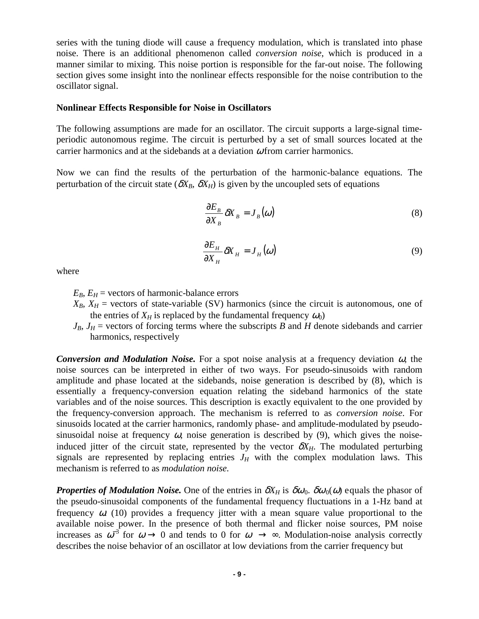series with the tuning diode will cause a frequency modulation, which is translated into phase noise. There is an additional phenomenon called *conversion noise*, which is produced in a manner similar to mixing. This noise portion is responsible for the far-out noise. The following section gives some insight into the nonlinear effects responsible for the noise contribution to the oscillator signal.

#### **Nonlinear Effects Responsible for Noise in Oscillators**

The following assumptions are made for an oscillator. The circuit supports a large-signal timeperiodic autonomous regime. The circuit is perturbed by a set of small sources located at the carrier harmonics and at the sidebands at a deviation  $\omega$  from carrier harmonics.

Now we can find the results of the perturbation of the harmonic-balance equations. The perturbation of the circuit state ( $\delta X_B$ ,  $\delta X_H$ ) is given by the uncoupled sets of equations

$$
\frac{\partial E_B}{\partial X_B} \delta X_B = J_B(\omega) \tag{8}
$$

$$
\frac{\partial E_H}{\partial X_H} \delta X_H = J_H(\omega) \tag{9}
$$

where

 $E_B$ ,  $E_H$  = vectors of harmonic-balance errors

- $X_B$ ,  $X_H$  = vectors of state-variable (SV) harmonics (since the circuit is autonomous, one of the entries of  $X_H$  is replaced by the fundamental frequency  $\omega_0$ )
- $J_B$ ,  $J_H$  = vectors of forcing terms where the subscripts *B* and *H* denote sidebands and carrier harmonics, respectively

**Conversion and Modulation Noise.** For a spot noise analysis at a frequency deviation  $\omega$ , the noise sources can be interpreted in either of two ways. For pseudo-sinusoids with random amplitude and phase located at the sidebands, noise generation is described by (8), which is essentially a frequency-conversion equation relating the sideband harmonics of the state variables and of the noise sources. This description is exactly equivalent to the one provided by the frequency-conversion approach. The mechanism is referred to as *conversion noise*. For sinusoids located at the carrier harmonics, randomly phase- and amplitude-modulated by pseudosinusoidal noise at frequency  $\omega$ , noise generation is described by (9), which gives the noiseinduced jitter of the circuit state, represented by the vector  $\delta X_H$ . The modulated perturbing signals are represented by replacing entries  $J_H$  with the complex modulation laws. This mechanism is referred to as *modulation noise.*

*Properties of Modulation Noise.* One of the entries in  $\delta X_H$  is  $\delta \omega_0$ .  $\delta \omega_0(\omega)$  equals the phasor of the pseudo-sinusoidal components of the fundamental frequency fluctuations in a 1-Hz band at frequency  $\omega$ . (10) provides a frequency jitter with a mean square value proportional to the available noise power. In the presence of both thermal and flicker noise sources, PM noise increases as  $\omega^{-3}$  for  $\omega \to 0$  and tends to 0 for  $\omega \to \infty$ . Modulation-noise analysis correctly describes the noise behavior of an oscillator at low deviations from the carrier frequency but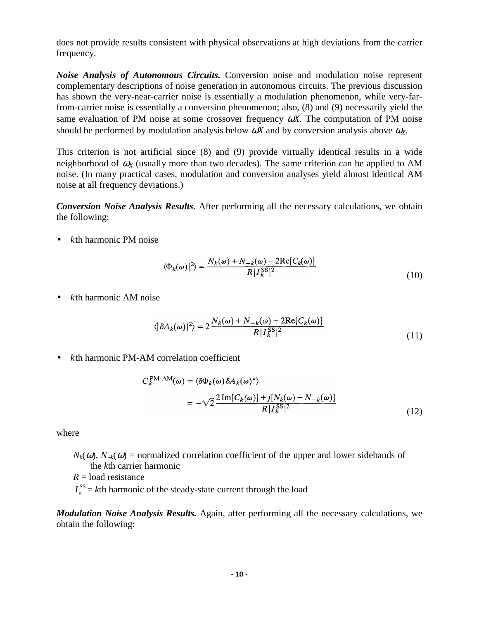does not provide results consistent with physical observations at high deviations from the carrier frequency.

*Noise Analysis of Autonomous Circuits.* Conversion noise and modulation noise represent complementary descriptions of noise generation in autonomous circuits. The previous discussion has shown the very-near-carrier noise is essentially a modulation phenomenon, while very-farfrom-carrier noise is essentially a conversion phenomenon; also, (8) and (9) necessarily yield the same evaluation of PM noise at some crossover frequency ω*X*. The computation of PM noise should be performed by modulation analysis below  $\omega X$  and by conversion analysis above  $\omega_X$ .

This criterion is not artificial since (8) and (9) provide virtually identical results in a wide neighborhood of  $\omega_X$  (usually more than two decades). The same criterion can be applied to AM noise. (In many practical cases, modulation and conversion analyses yield almost identical AM noise at all frequency deviations.)

*Conversion Noise Analysis Results*. After performing all the necessary calculations, we obtain the following:

• *k*th harmonic PM noise

$$
\langle \Phi_k(\omega) |^2 \rangle = \frac{N_k(\omega) + N_{-k}(\omega) - 2\text{Re}[C_k(\omega)]}{R |I_k^{\text{SS}}|^2}
$$
(10)

• *k*th harmonic AM noise

$$
\langle |\delta A_k(\omega)|^2 \rangle = 2 \frac{N_k(\omega) + N_{-k}(\omega) + 2\text{Re}[C_k(\omega)]}{R |I_k^{\text{SS}}|^2}
$$
(11)

• *k*th harmonic PM-AM correlation coefficient

$$
C_k^{\text{PM-AM}}(\omega) = \langle \delta \Phi_k(\omega) \delta A_k(\omega)^* \rangle
$$
  
= 
$$
-\sqrt{2} \frac{2 \operatorname{Im}[C_k(\omega)] + j[N_k(\omega) - N_{-k}(\omega)]}{R |I_k^{\text{SS}}|^2}
$$
(12)

where

- $N_k(\omega)$ ,  $N_{-k}(\omega)$  = normalized correlation coefficient of the upper and lower sidebands of the *k*th carrier harmonic
- $R =$ load resistance
- $I_k^{\text{SS}} = k\text{th harmonic of the steady-state current through the load}$

*Modulation Noise Analysis Results.* Again, after performing all the necessary calculations, we obtain the following: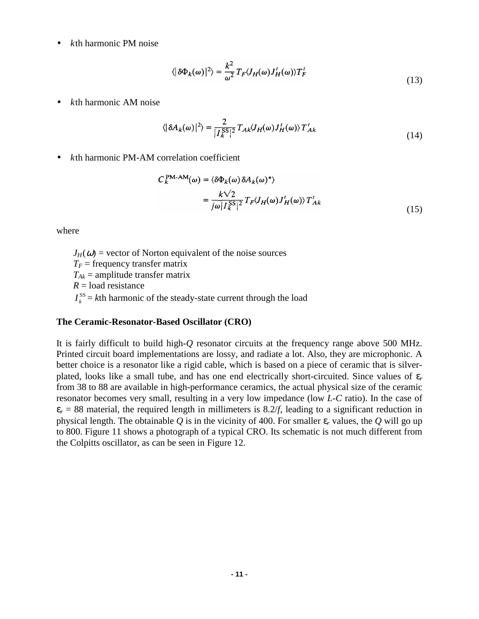• *k*th harmonic PM noise

$$
\langle |\delta \Phi_k(\omega)|^2 \rangle = \frac{k^2}{\omega^2} T_F \langle J_H(\omega) J_H^t(\omega) \rangle T_F^t \tag{13}
$$

• *k*th harmonic AM noise

$$
\langle |\delta A_k(\omega)|^2 \rangle = \frac{2}{|I_k^{\rm SS}|^2} T_{Ak} \langle J_H(\omega) J_H^t(\omega) \rangle T_{Ak}^t \tag{14}
$$

• *k*th harmonic PM-AM correlation coefficient

$$
C_k^{\text{PM-AM}}(\omega) = \langle \delta \Phi_k(\omega) \delta A_k(\omega)^* \rangle
$$
  
= 
$$
\frac{k\sqrt{2}}{j\omega |I_k^{\text{SS}}|^2} T_F \langle J_H(\omega) J_H'(\omega) \rangle T_{Ak}'
$$
 (15)

where

 $J_H(\omega)$  = vector of Norton equivalent of the noise sources  $T_F$  = frequency transfer matrix  $T_{Ak}$  = amplitude transfer matrix *R* = load resistance  $I_k^{\text{SS}} = k\text{th harmonic of the steady-state current through the load}$ 

### **The Ceramic-Resonator-Based Oscillator (CRO)**

It is fairly difficult to build high-*Q* resonator circuits at the frequency range above 500 MHz. Printed circuit board implementations are lossy, and radiate a lot. Also, they are microphonic. A better choice is a resonator like a rigid cable, which is based on a piece of ceramic that is silverplated, looks like a small tube, and has one end electrically short-circuited. Since values of  $\varepsilon_r$ from 38 to 88 are available in high-performance ceramics, the actual physical size of the ceramic resonator becomes very small, resulting in a very low impedance (low *L*-*C* ratio). In the case of  $\varepsilon_r$  = 88 material, the required length in millimeters is 8.2/*f*, leading to a significant reduction in physical length. The obtainable *Q* is in the vicinity of 400. For smaller ε*r* values, the *Q* will go up to 800. Figure 11 shows a photograph of a typical CRO. Its schematic is not much different from the Colpitts oscillator, as can be seen in Figure 12.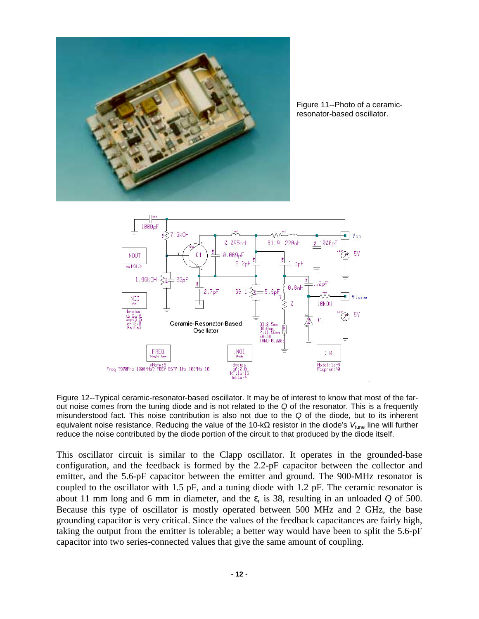

Figure 11--Photo of a ceramicresonator-based oscillator.



Figure 12--Typical ceramic-resonator-based oscillator. It may be of interest to know that most of the farout noise comes from the tuning diode and is not related to the Q of the resonator. This is a frequently misunderstood fact. This noise contribution is also not due to the Q of the diode, but to its inherent equivalent noise resistance. Reducing the value of the 10-k $\Omega$  resistor in the diode's V<sub>tune</sub> line will further reduce the noise contributed by the diode portion of the circuit to that produced by the diode itself.

This oscillator circuit is similar to the Clapp oscillator. It operates in the grounded-base configuration, and the feedback is formed by the 2.2-pF capacitor between the collector and emitter, and the 5.6-pF capacitor between the emitter and ground. The 900-MHz resonator is coupled to the oscillator with 1.5 pF, and a tuning diode with 1.2 pF. The ceramic resonator is about 11 mm long and 6 mm in diameter, and the ε*r* is 38, resulting in an unloaded *Q* of 500. Because this type of oscillator is mostly operated between 500 MHz and 2 GHz, the base grounding capacitor is very critical. Since the values of the feedback capacitances are fairly high, taking the output from the emitter is tolerable; a better way would have been to split the 5.6-pF capacitor into two series-connected values that give the same amount of coupling.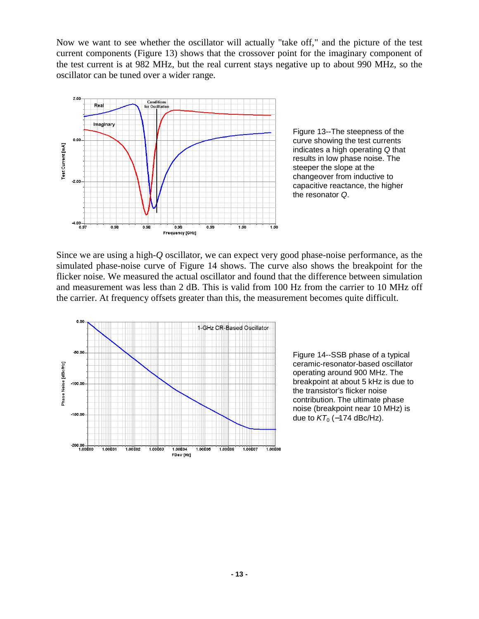Now we want to see whether the oscillator will actually "take off," and the picture of the test current components (Figure 13) shows that the crossover point for the imaginary component of the test current is at 982 MHz, but the real current stays negative up to about 990 MHz, so the oscillator can be tuned over a wider range.



Figure 13--The steepness of the curve showing the test currents indicates a high operating Q that results in low phase noise. The steeper the slope at the changeover from inductive to capacitive reactance, the higher the resonator Q.

Since we are using a high-*Q* oscillator, we can expect very good phase-noise performance, as the simulated phase-noise curve of Figure 14 shows. The curve also shows the breakpoint for the flicker noise. We measured the actual oscillator and found that the difference between simulation and measurement was less than 2 dB. This is valid from 100 Hz from the carrier to 10 MHz off the carrier. At frequency offsets greater than this, the measurement becomes quite difficult.



Figure 14--SSB phase of a typical ceramic-resonator-based oscillator operating around 900 MHz. The breakpoint at about 5 kHz is due to the transistor's flicker noise contribution. The ultimate phase noise (breakpoint near 10 MHz) is due to  $KT_0$  (-174 dBc/Hz).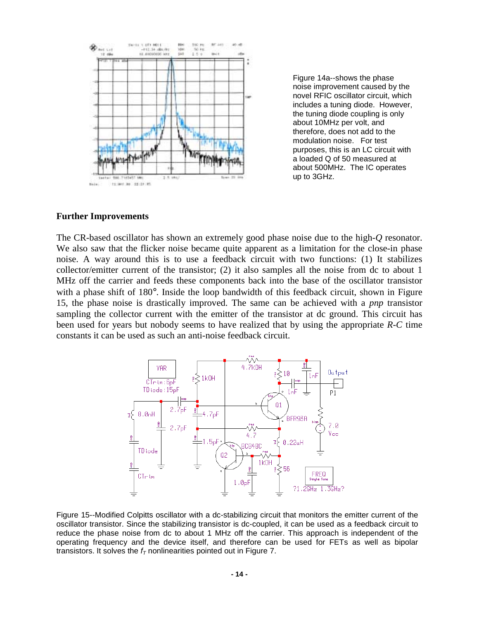

Figure 14a--shows the phase noise improvement caused by the novel RFIC oscillator circuit, which includes a tuning diode. However, the tuning diode coupling is only about 10MHz per volt, and therefore, does not add to the modulation noise. For test purposes, this is an LC circuit with a loaded Q of 50 measured at about 500MHz. The IC operates up to 3GHz.

#### **Further Improvements**

The CR-based oscillator has shown an extremely good phase noise due to the high-*Q* resonator. We also saw that the flicker noise became quite apparent as a limitation for the close-in phase noise. A way around this is to use a feedback circuit with two functions: (1) It stabilizes collector/emitter current of the transistor; (2) it also samples all the noise from dc to about 1 MHz off the carrier and feeds these components back into the base of the oscillator transistor with a phase shift of 180°. Inside the loop bandwidth of this feedback circuit, shown in Figure 15, the phase noise is drastically improved. The same can be achieved with a *pnp* transistor sampling the collector current with the emitter of the transistor at dc ground. This circuit has been used for years but nobody seems to have realized that by using the appropriate *R-C* time constants it can be used as such an anti-noise feedback circuit.



Figure 15--Modified Colpitts oscillator with a dc-stabilizing circuit that monitors the emitter current of the oscillator transistor. Since the stabilizing transistor is dc-coupled, it can be used as a feedback circuit to reduce the phase noise from dc to about 1 MHz off the carrier. This approach is independent of the operating frequency and the device itself, and therefore can be used for FETs as well as bipolar transistors. It solves the  $f<sub>T</sub>$  nonlinearities pointed out in Figure 7.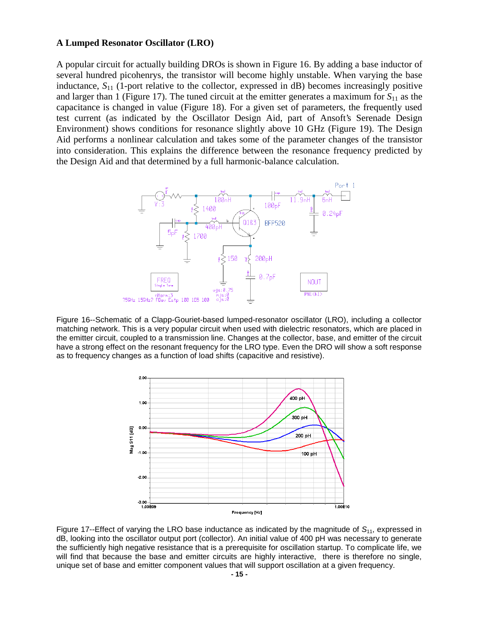#### **A Lumped Resonator Oscillator (LRO)**

A popular circuit for actually building DROs is shown in Figure 16. By adding a base inductor of several hundred picohenrys, the transistor will become highly unstable. When varying the base inductance,  $S_{11}$  (1-port relative to the collector, expressed in dB) becomes increasingly positive and larger than 1 (Figure 17). The tuned circuit at the emitter generates a maximum for  $S_{11}$  as the capacitance is changed in value (Figure 18). For a given set of parameters, the frequently used test current (as indicated by the Oscillator Design Aid, part of Ansoft's Serenade Design Environment) shows conditions for resonance slightly above 10 GHz (Figure 19). The Design Aid performs a nonlinear calculation and takes some of the parameter changes of the transistor into consideration. This explains the difference between the resonance frequency predicted by the Design Aid and that determined by a full harmonic-balance calculation.



Figure 16--Schematic of a Clapp-Gouriet-based lumped-resonator oscillator (LRO), including a collector matching network. This is a very popular circuit when used with dielectric resonators, which are placed in the emitter circuit, coupled to a transmission line. Changes at the collector, base, and emitter of the circuit have a strong effect on the resonant frequency for the LRO type. Even the DRO will show a soft response as to frequency changes as a function of load shifts (capacitive and resistive).



Figure 17--Effect of varying the LRO base inductance as indicated by the magnitude of  $S_{11}$ , expressed in dB, looking into the oscillator output port (collector). An initial value of 400 pH was necessary to generate the sufficiently high negative resistance that is a prerequisite for oscillation startup. To complicate life, we will find that because the base and emitter circuits are highly interactive, there is therefore no single, unique set of base and emitter component values that will support oscillation at a given frequency.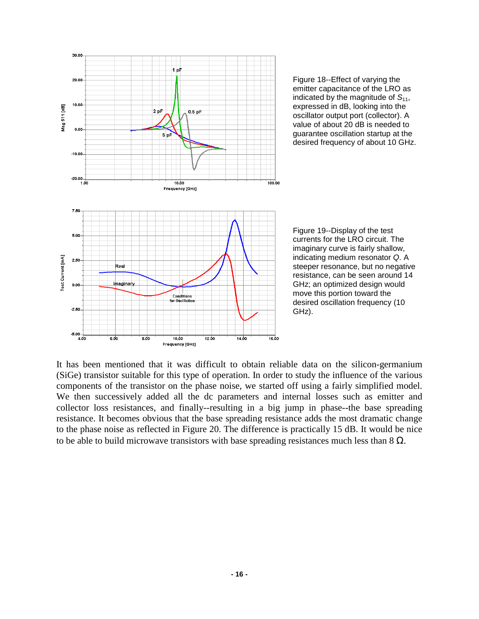



Figure 19--Display of the test currents for the LRO circuit. The imaginary curve is fairly shallow, indicating medium resonator Q. A steeper resonance, but no negative resistance, can be seen around 14 GHz; an optimized design would move this portion toward the desired oscillation frequency (10 GHz).

It has been mentioned that it was difficult to obtain reliable data on the silicon-germanium (SiGe) transistor suitable for this type of operation. In order to study the influence of the various components of the transistor on the phase noise, we started off using a fairly simplified model. We then successively added all the dc parameters and internal losses such as emitter and collector loss resistances, and finally--resulting in a big jump in phase--the base spreading resistance. It becomes obvious that the base spreading resistance adds the most dramatic change to the phase noise as reflected in Figure 20. The difference is practically 15 dB. It would be nice to be able to build microwave transistors with base spreading resistances much less than  $8 \Omega$ .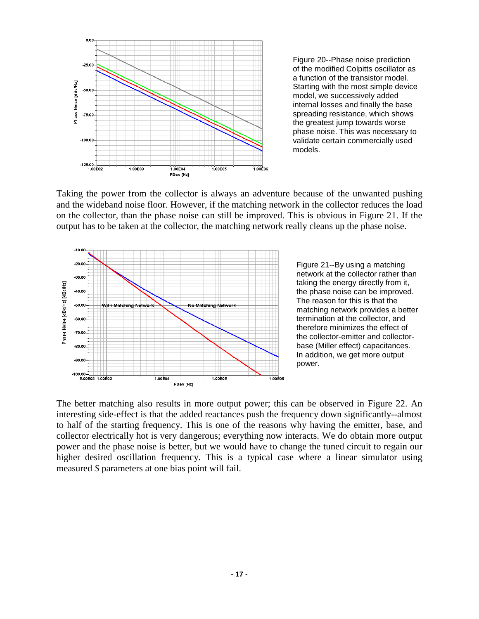

Figure 20--Phase noise prediction of the modified Colpitts oscillator as a function of the transistor model. Starting with the most simple device model, we successively added internal losses and finally the base spreading resistance, which shows the greatest jump towards worse phase noise. This was necessary to validate certain commercially used models.

Taking the power from the collector is always an adventure because of the unwanted pushing and the wideband noise floor. However, if the matching network in the collector reduces the load on the collector, than the phase noise can still be improved. This is obvious in Figure 21. If the output has to be taken at the collector, the matching network really cleans up the phase noise.



Figure 21--By using a matching network at the collector rather than taking the energy directly from it, the phase noise can be improved. The reason for this is that the matching network provides a better termination at the collector, and therefore minimizes the effect of the collector-emitter and collectorbase (Miller effect) capacitances. In addition, we get more output power.

The better matching also results in more output power; this can be observed in Figure 22. An interesting side-effect is that the added reactances push the frequency down significantly--almost to half of the starting frequency. This is one of the reasons why having the emitter, base, and collector electrically hot is very dangerous; everything now interacts. We do obtain more output power and the phase noise is better, but we would have to change the tuned circuit to regain our higher desired oscillation frequency. This is a typical case where a linear simulator using measured *S* parameters at one bias point will fail.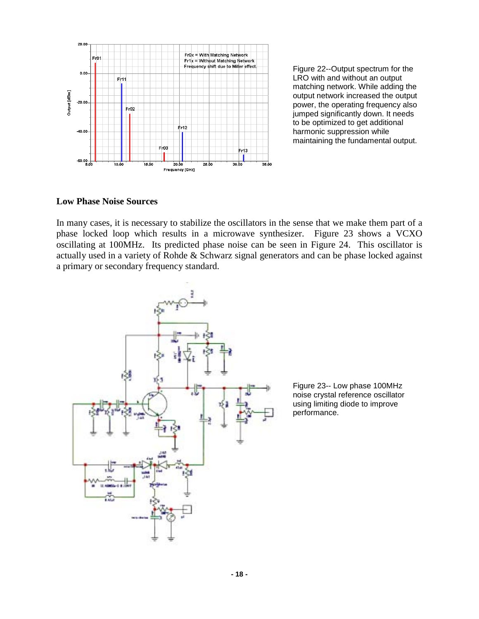

Figure 22--Output spectrum for the LRO with and without an output matching network. While adding the output network increased the output power, the operating frequency also jumped significantly down. It needs to be optimized to get additional harmonic suppression while maintaining the fundamental output.

#### **Low Phase Noise Sources**

In many cases, it is necessary to stabilize the oscillators in the sense that we make them part of a phase locked loop which results in a microwave synthesizer. Figure 23 shows a VCXO oscillating at 100MHz. Its predicted phase noise can be seen in Figure 24. This oscillator is actually used in a variety of Rohde & Schwarz signal generators and can be phase locked against a primary or secondary frequency standard.



Figure 23-- Low phase 100MHz noise crystal reference oscillator using limiting diode to improve performance.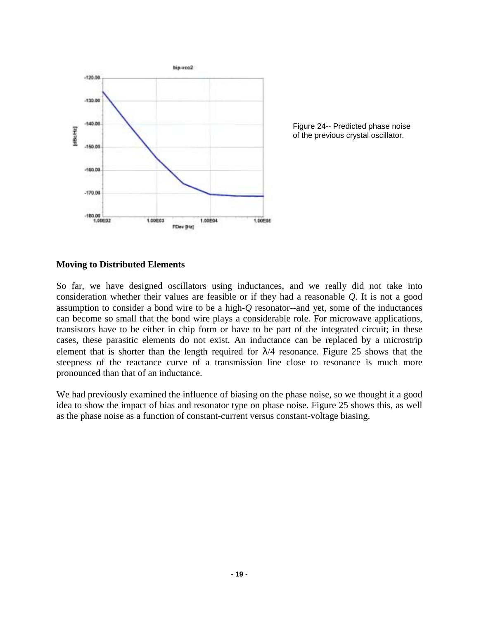

Figure 24-- Predicted phase noise of the previous crystal oscillator.

#### **Moving to Distributed Elements**

So far, we have designed oscillators using inductances, and we really did not take into consideration whether their values are feasible or if they had a reasonable *Q*. It is not a good assumption to consider a bond wire to be a high-*Q* resonator--and yet, some of the inductances can become so small that the bond wire plays a considerable role. For microwave applications, transistors have to be either in chip form or have to be part of the integrated circuit; in these cases, these parasitic elements do not exist. An inductance can be replaced by a microstrip element that is shorter than the length required for  $\lambda/4$  resonance. Figure 25 shows that the steepness of the reactance curve of a transmission line close to resonance is much more pronounced than that of an inductance.

We had previously examined the influence of biasing on the phase noise, so we thought it a good idea to show the impact of bias and resonator type on phase noise. Figure 25 shows this, as well as the phase noise as a function of constant-current versus constant-voltage biasing.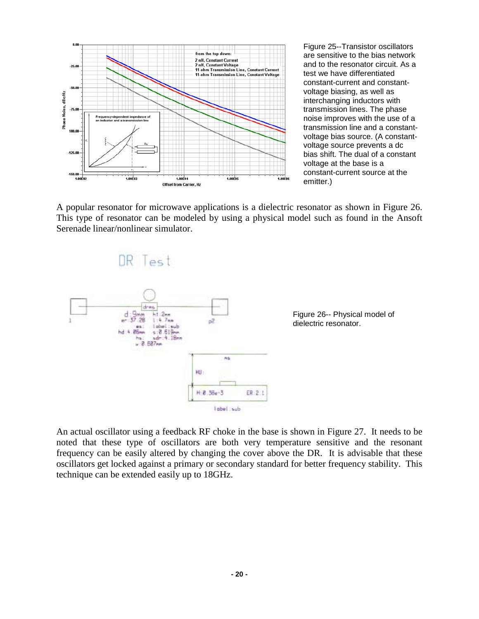

Figure 25--Transistor oscillators are sensitive to the bias network and to the resonator circuit. As a test we have differentiated constant-current and constantvoltage biasing, as well as interchanging inductors with transmission lines. The phase noise improves with the use of a transmission line and a constantvoltage bias source. (A constantvoltage source prevents a dc bias shift. The dual of a constant voltage at the base is a constant-current source at the emitter.)

A popular resonator for microwave applications is a dielectric resonator as shown in Figure 26. This type of resonator can be modeled by using a physical model such as found in the Ansoft Serenade linear/nonlinear simulator.



An actual oscillator using a feedback RF choke in the base is shown in Figure 27. It needs to be noted that these type of oscillators are both very temperature sensitive and the resonant frequency can be easily altered by changing the cover above the DR. It is advisable that these oscillators get locked against a primary or secondary standard for better frequency stability. This technique can be extended easily up to 18GHz.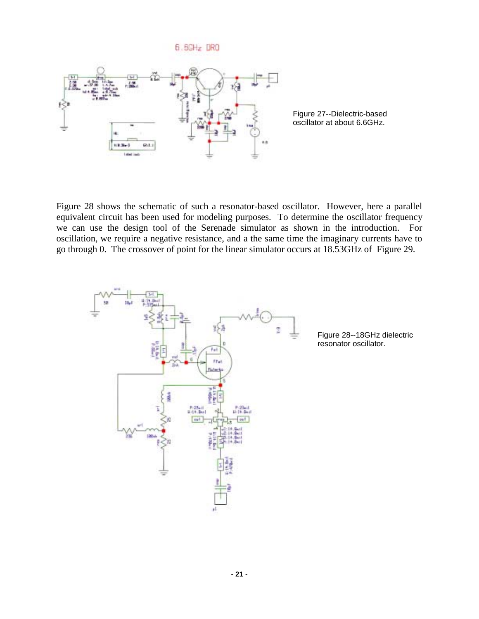

Figure 27--Dielectric-based oscillator at about 6.6GHz.

Figure 28 shows the schematic of such a resonator-based oscillator. However, here a parallel equivalent circuit has been used for modeling purposes. To determine the oscillator frequency we can use the design tool of the Serenade simulator as shown in the introduction. For oscillation, we require a negative resistance, and a the same time the imaginary currents have to go through 0. The crossover of point for the linear simulator occurs at 18.53GHz of Figure 29.



Figure 28--18GHz dielectric resonator oscillator.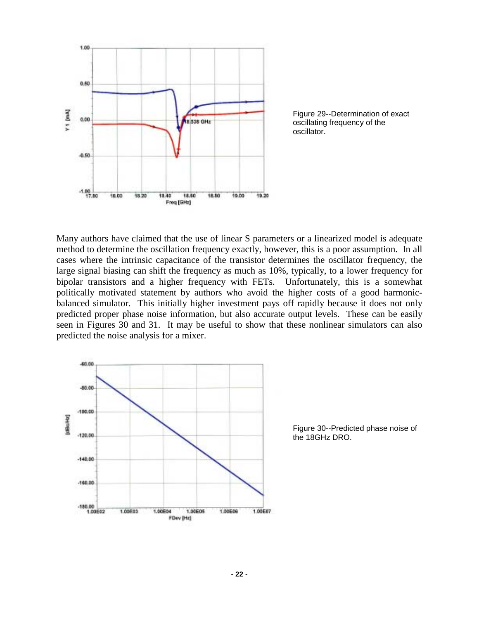

Figure 29--Determination of exact oscillating frequency of the oscillator.

Many authors have claimed that the use of linear S parameters or a linearized model is adequate method to determine the oscillation frequency exactly, however, this is a poor assumption. In all cases where the intrinsic capacitance of the transistor determines the oscillator frequency, the large signal biasing can shift the frequency as much as 10%, typically, to a lower frequency for bipolar transistors and a higher frequency with FETs. Unfortunately, this is a somewhat politically motivated statement by authors who avoid the higher costs of a good harmonicbalanced simulator. This initially higher investment pays off rapidly because it does not only predicted proper phase noise information, but also accurate output levels. These can be easily seen in Figures 30 and 31. It may be useful to show that these nonlinear simulators can also predicted the noise analysis for a mixer.



Figure 30--Predicted phase noise of the 18GHz DRO.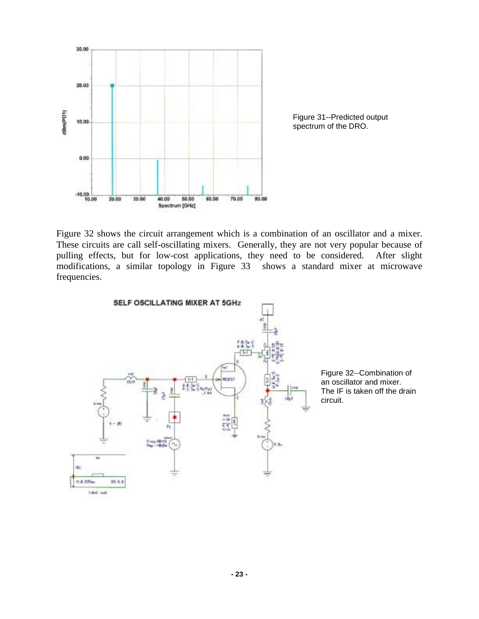

Figure 32 shows the circuit arrangement which is a combination of an oscillator and a mixer. These circuits are call self-oscillating mixers. Generally, they are not very popular because of pulling effects, but for low-cost applications, they need to be considered. After slight modifications, a similar topology in Figure 33 shows a standard mixer at microwave frequencies.



Figure 32--Combination of an oscillator and mixer. The IF is taken off the drain circuit.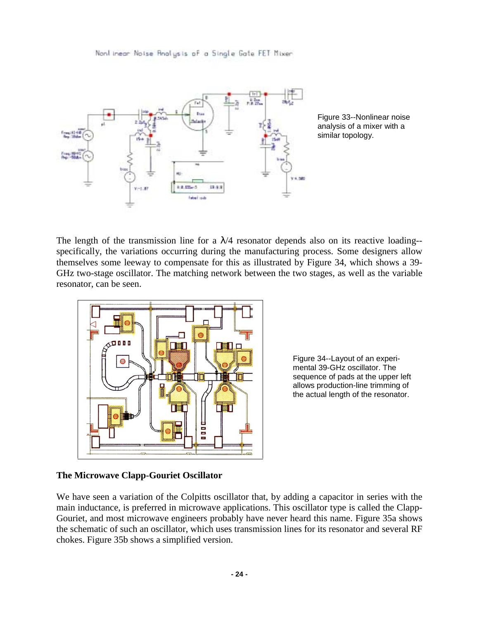Nonlinear Noise Analysis of a Single Gate FET Mixer



Figure 33--Nonlinear noise analysis of a mixer with a similar topology.

The length of the transmission line for a  $\lambda$ /4 resonator depends also on its reactive loading-specifically, the variations occurring during the manufacturing process. Some designers allow themselves some leeway to compensate for this as illustrated by Figure 34, which shows a 39- GHz two-stage oscillator. The matching network between the two stages, as well as the variable resonator, can be seen.



Figure 34--Layout of an experimental 39-GHz oscillator. The sequence of pads at the upper left allows production-line trimming of the actual length of the resonator.

# **The Microwave Clapp-Gouriet Oscillator**

We have seen a variation of the Colpitts oscillator that, by adding a capacitor in series with the main inductance, is preferred in microwave applications. This oscillator type is called the Clapp-Gouriet, and most microwave engineers probably have never heard this name. Figure 35a shows the schematic of such an oscillator, which uses transmission lines for its resonator and several RF chokes. Figure 35b shows a simplified version.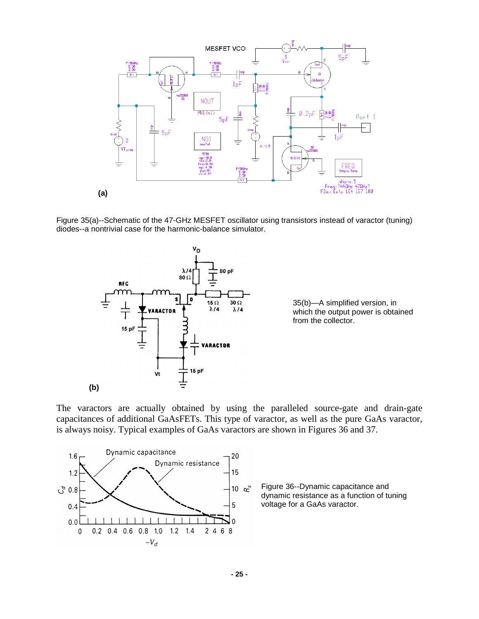

Figure 35(a)--Schematic of the 47-GHz MESFET oscillator using transistors instead of varactor (tuning) diodes--a nontrivial case for the harmonic-balance simulator.



35(b)—A simplified version, in which the output power is obtained from the collector.

The varactors are actually obtained by using the paralleled source-gate and drain-gate capacitances of additional GaAsFETs. This type of varactor, as well as the pure GaAs varactor, is always noisy. Typical examples of GaAs varactors are shown in Figures 36 and 37.

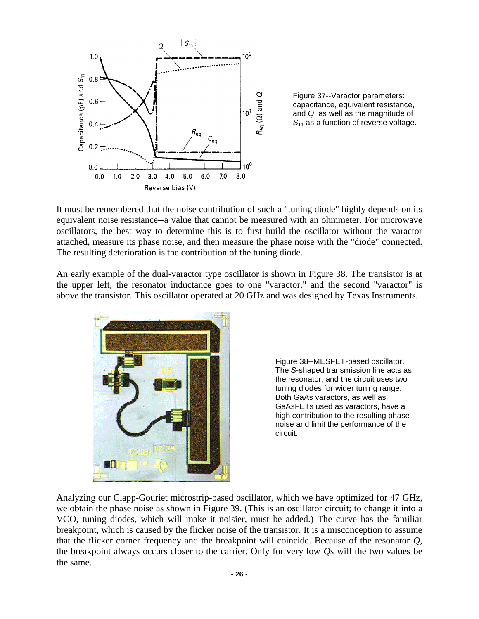

Figure 37--Varactor parameters: capacitance, equivalent resistance, and Q, as well as the magnitude of  $S_{11}$  as a function of reverse voltage.

It must be remembered that the noise contribution of such a "tuning diode" highly depends on its equivalent noise resistance--a value that cannot be measured with an ohmmeter. For microwave oscillators, the best way to determine this is to first build the oscillator without the varactor attached, measure its phase noise, and then measure the phase noise with the "diode" connected. The resulting deterioration is the contribution of the tuning diode.

An early example of the dual-varactor type oscillator is shown in Figure 38. The transistor is at the upper left; the resonator inductance goes to one "varactor," and the second "varactor" is above the transistor. This oscillator operated at 20 GHz and was designed by Texas Instruments.



Figure 38--MESFET-based oscillator. The S-shaped transmission line acts as the resonator, and the circuit uses two tuning diodes for wider tuning range. Both GaAs varactors, as well as GaAsFETs used as varactors, have a high contribution to the resulting phase noise and limit the performance of the circuit.

Analyzing our Clapp-Gouriet microstrip-based oscillator, which we have optimized for 47 GHz, we obtain the phase noise as shown in Figure 39. (This is an oscillator circuit; to change it into a [VCO,](http://synergymwave.com/products/vco/) tuning diodes, which will make it noisier, must be added.) The curve has the familiar breakpoint, which is caused by the flicker noise of the transistor. It is a misconception to assume that the flicker corner frequency and the breakpoint will coincide. Because of the resonator *Q*, the breakpoint always occurs closer to the carrier. Only for very low *Q*s will the two values be the same.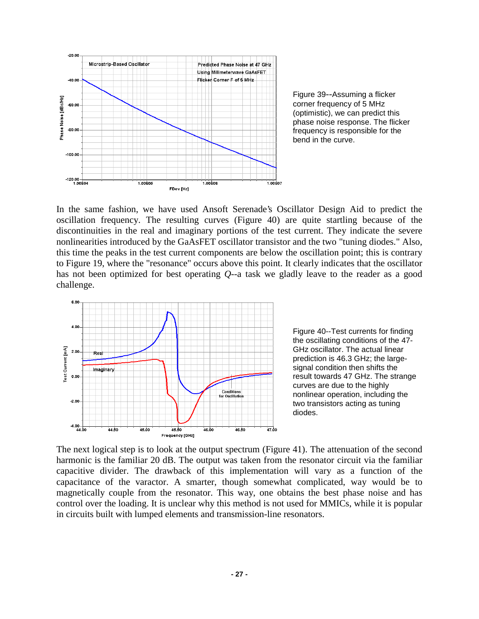

Figure 39--Assuming a flicker corner frequency of 5 MHz (optimistic), we can predict this phase noise response. The flicker frequency is responsible for the bend in the curve.

In the same fashion, we have used Ansoft Serenade's Oscillator Design Aid to predict the oscillation frequency. The resulting curves (Figure 40) are quite startling because of the discontinuities in the real and imaginary portions of the test current. They indicate the severe nonlinearities introduced by the GaAsFET oscillator transistor and the two "tuning diodes." Also, this time the peaks in the test current components are below the oscillation point; this is contrary to Figure 19, where the "resonance" occurs above this point. It clearly indicates that the oscillator has not been optimized for best operating *Q*--a task we gladly leave to the reader as a good challenge.



Figure 40--Test currents for finding the oscillating conditions of the 47- GHz oscillator. The actual linear prediction is 46.3 GHz; the largesignal condition then shifts the result towards 47 GHz. The strange curves are due to the highly nonlinear operation, including the two transistors acting as tuning diodes.

The next logical step is to look at the output spectrum (Figure 41). The attenuation of the second harmonic is the familiar 20 dB. The output was taken from the resonator circuit via the familiar capacitive divider. The drawback of this implementation will vary as a function of the capacitance of the varactor. A smarter, though somewhat complicated, way would be to magnetically couple from the resonator. This way, one obtains the best phase noise and has control over the loading. It is unclear why this method is not used for MMICs, while it is popular in circuits built with lumped elements and transmission-line resonators.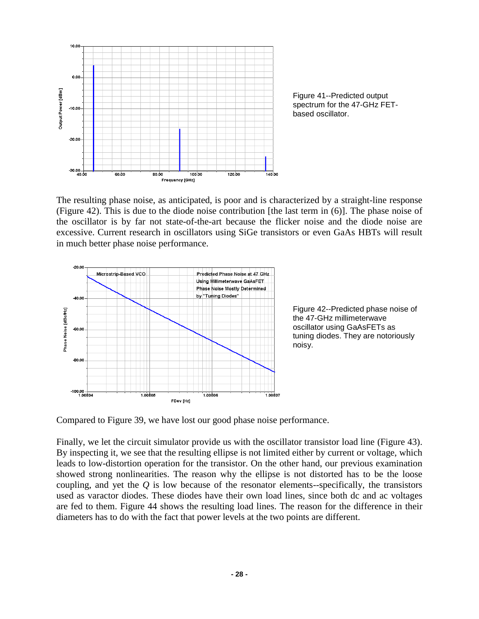

Figure 41--Predicted output spectrum for the 47-GHz FETbased oscillator.

The resulting phase noise, as anticipated, is poor and is characterized by a straight-line response (Figure 42). This is due to the diode noise contribution [the last term in (6)]. The phase noise of the oscillator is by far not state-of-the-art because the flicker noise and the diode noise are excessive. Current research in oscillators using SiGe transistors or even GaAs HBTs will result in much better phase noise performance.



Figure 42--Predicted phase noise of the 47-GHz millimeterwave oscillator using GaAsFETs as tuning diodes. They are notoriously noisy.

Compared to Figure 39, we have lost our good phase noise performance.

Finally, we let the circuit simulator provide us with the oscillator transistor load line (Figure 43). By inspecting it, we see that the resulting ellipse is not limited either by current or voltage, which leads to low-distortion operation for the transistor. On the other hand, our previous examination showed strong nonlinearities. The reason why the ellipse is not distorted has to be the loose coupling, and yet the *Q* is low because of the resonator elements--specifically, the transistors used as varactor diodes. These diodes have their own load lines, since both dc and ac voltages are fed to them. Figure 44 shows the resulting load lines. The reason for the difference in their diameters has to do with the fact that power levels at the two points are different.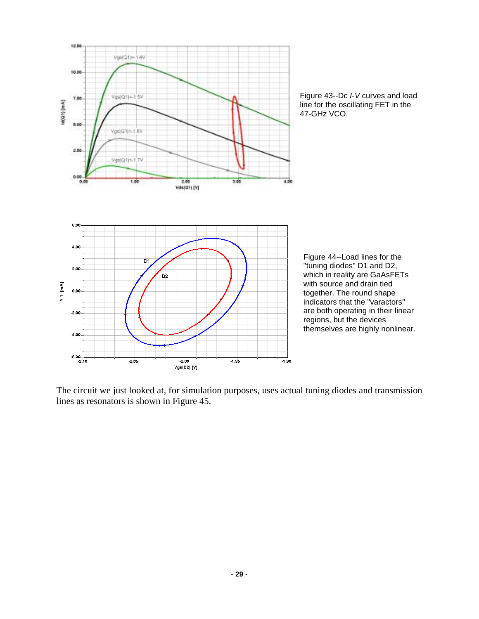



Figure 44--Load lines for the "tuning diodes" D1 and D2, which in reality are GaAsFETs with source and drain tied together. The round shape indicators that the "varactors" are both operating in their linear regions, but the devices themselves are highly nonlinear.

The circuit we just looked at, for simulation purposes, uses actual tuning diodes and transmission lines as resonators is shown in Figure 45.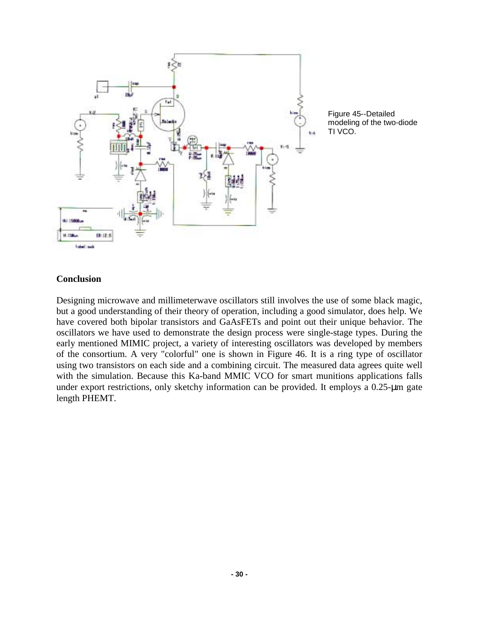

Figure 45--Detailed modeling of the two-diode TI [VCO.](http://synergymwave.com/products/vco/)

#### **Conclusion**

Designing microwave and millimeterwave oscillators still involves the use of some black magic, but a good understanding of their theory of operation, including a good simulator, does help. We have covered both bipolar transistors and GaAsFETs and point out their unique behavior. The oscillators we have used to demonstrate the design process were single-stage types. During the early mentioned MIMIC project, a variety of interesting oscillators was developed by members of the consortium. A very "colorful" one is shown in Figure 46. It is a ring type of oscillator using two transistors on each side and a combining circuit. The measured data agrees quite well with the simulation. Because this Ka-band MMIC [VCO](http://synergymwave.com/products/vco/) for smart munitions applications falls under export restrictions, only sketchy information can be provided. It employs a 0.25-um gate length PHEMT.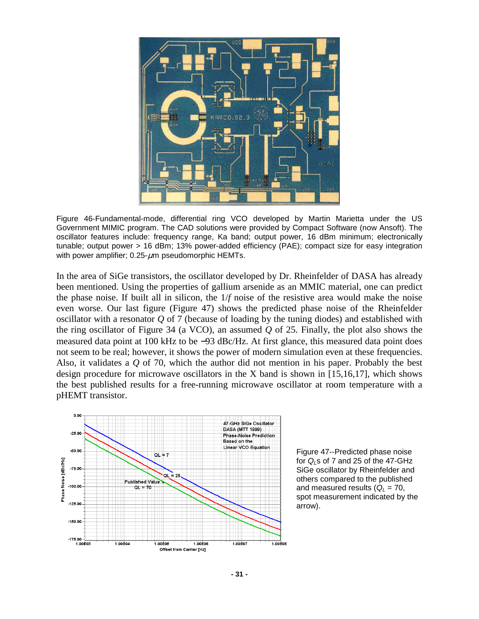

Figure 46-Fundamental-mode, differential ring [VCO](http://synergymwave.com/products/vco/) developed by Martin Marietta under the US Government MIMIC program. The CAD solutions were provided by Compact Software (now Ansoft). The oscillator features include: frequency range, Ka band; output power, 16 dBm minimum; electronically tunable; output power > 16 dBm; 13% power-added efficiency (PAE); compact size for easy integration with power amplifier;  $0.25 \text{-} \mu$ m pseudomorphic HEMTs.

In the area of SiGe transistors, the oscillator developed by Dr. Rheinfelder of DASA has already been mentioned. Using the properties of gallium arsenide as an MMIC material, one can predict the phase noise. If built all in silicon, the 1/*f* noise of the resistive area would make the noise even worse. Our last figure (Figure 47) shows the predicted phase noise of the Rheinfelder oscillator with a resonator *Q* of 7 (because of loading by the tuning diodes) and established with the ring oscillator of Figure 34 (a [VCO\),](http://synergymwave.com/products/vco/) an assumed *Q* of 25. Finally, the plot also shows the measured data point at 100 kHz to be −93 dBc/Hz. At first glance, this measured data point does not seem to be real; however, it shows the power of modern simulation even at these frequencies. Also, it validates a *Q* of 70, which the author did not mention in his paper. Probably the best design procedure for microwave oscillators in the X band is shown in [15,16,17], which shows the best published results for a free-running microwave oscillator at room temperature with a pHEMT transistor.



Figure 47--Predicted phase noise for  $Q_i$ s of 7 and 25 of the 47-GHz SiGe oscillator by Rheinfelder and others compared to the published and measured results ( $Q_1 = 70$ , spot measurement indicated by the arrow).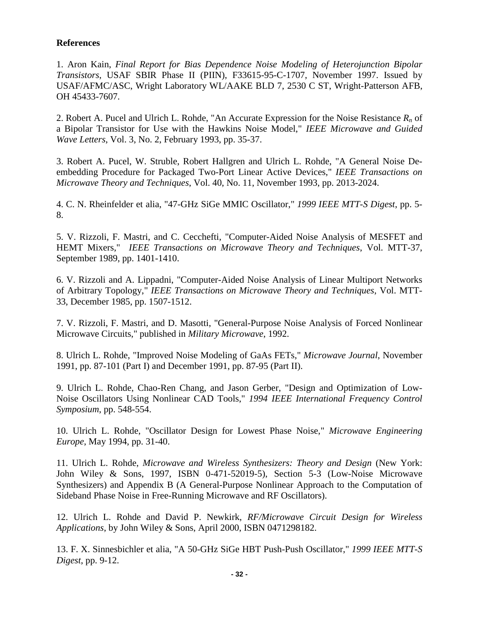# **References**

1. Aron Kain, *Final Report for Bias Dependence Noise Modeling of Heterojunction Bipolar Transistors*, USAF SBIR Phase II (PIIN), F33615-95-C-1707, November 1997. Issued by USAF/AFMC/ASC, Wright Laboratory WL/AAKE BLD 7, 2530 C ST, Wright-Patterson AFB, OH 45433-7607.

2. Robert A. Pucel and Ulrich L. Rohde, "An Accurate Expression for the Noise Resistance *Rn* of a Bipolar Transistor for Use with the Hawkins Noise Model," *IEEE Microwave and Guided Wave Letters*, Vol. 3, No. 2, February 1993, pp. 35-37.

3. Robert A. Pucel, W. Struble, Robert Hallgren and Ulrich L. Rohde, "A General Noise Deembedding Procedure for Packaged Two-Port Linear Active Devices," *IEEE Transactions on Microwave Theory and Techniques*, Vol. 40, No. 11, November 1993, pp. 2013-2024.

4. C. N. Rheinfelder et alia, "47-GHz SiGe MMIC Oscillator," *1999 IEEE MTT-S Digest*, pp. 5- 8.

5. V. Rizzoli, F. Mastri, and C. Cecchefti, "Computer-Aided Noise Analysis of MESFET and HEMT Mixers," *IEEE Transactions on Microwave Theory and Techniques*, Vol. MTT-37, September 1989, pp. 1401-1410.

6. V. Rizzoli and A. Lippadni, "Computer-Aided Noise Analysis of Linear Multiport Networks of Arbitrary Topology," *IEEE Transactions on Microwave Theory and Techniques*, Vol. MTT-33, December 1985, pp. 1507-1512.

7. V. Rizzoli, F. Mastri, and D. Masotti, "General-Purpose Noise Analysis of Forced Nonlinear Microwave Circuits," published in *Military Microwave*, 1992.

8. Ulrich L. Rohde, "Improved Noise Modeling of GaAs FETs," *Microwave Journal*, November 1991, pp. 87-101 (Part I) and December 1991, pp. 87-95 (Part II).

9. Ulrich L. Rohde, Chao-Ren Chang, and Jason Gerber, "Design and Optimization of Low-Noise Oscillators Using Nonlinear CAD Tools," *1994 IEEE International Frequency Control Symposium*, pp. 548-554.

10. Ulrich L. Rohde, "Oscillator Design for Lowest Phase Noise," *Microwave Engineering Europe*, May 1994, pp. 31-40.

11. Ulrich L. Rohde, *Microwave and Wireless Synthesizers: Theory and Design* (New York: John Wiley & Sons, 1997, ISBN 0-471-52019-5), Section 5-3 (Low-Noise Microwave Synthesizers) and Appendix B (A General-Purpose Nonlinear Approach to the Computation of Sideband Phase Noise in Free-Running Microwave and RF Oscillators).

12. Ulrich L. Rohde and David P. Newkirk, *RF/Microwave Circuit Design for Wireless Applications*, by John Wiley & Sons, April 2000, ISBN 0471298182.

13. F. X. Sinnesbichler et alia, "A 50-GHz SiGe HBT Push-Push Oscillator," *1999 IEEE MTT-S Digest*, pp. 9-12.